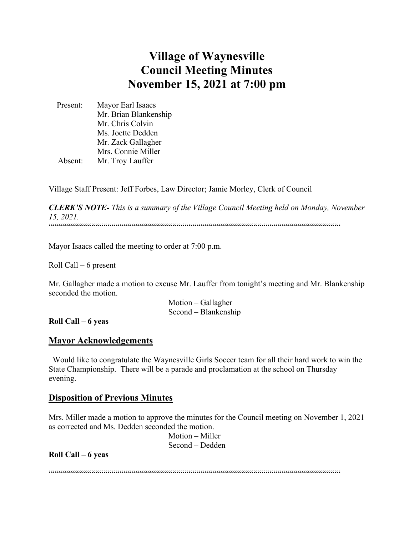# **Village of Waynesville Council Meeting Minutes November 15, 2021 at 7:00 pm**

 Present: Mayor Earl Isaacs Mr. Brian Blankenship Mr. Chris Colvin Ms. Joette Dedden Mr. Zack Gallagher Mrs. Connie Miller Absent: Mr. Troy Lauffer

Village Staff Present: Jeff Forbes, Law Director; Jamie Morley, Clerk of Council

*CLERK'S NOTE- This is a summary of the Village Council Meeting held on Monday, November 15, 2021.*   $\label{prop:main}$ 

Mayor Isaacs called the meeting to order at 7:00 p.m.

Roll Call – 6 present

Mr. Gallagher made a motion to excuse Mr. Lauffer from tonight's meeting and Mr. Blankenship seconded the motion.

> Motion – Gallagher Second – Blankenship

**Roll Call – 6 yeas**

#### **Mayor Acknowledgements**

 Would like to congratulate the Waynesville Girls Soccer team for all their hard work to win the State Championship. There will be a parade and proclamation at the school on Thursday evening.

#### **Disposition of Previous Minutes**

Mrs. Miller made a motion to approve the minutes for the Council meeting on November 1, 2021 as corrected and Ms. Dedden seconded the motion.

> Motion – Miller Second – Dedden

**Roll Call – 6 yeas**

""""""""""""""""""""""""""""""""""""""""""""""""""""""""""""""""""""""""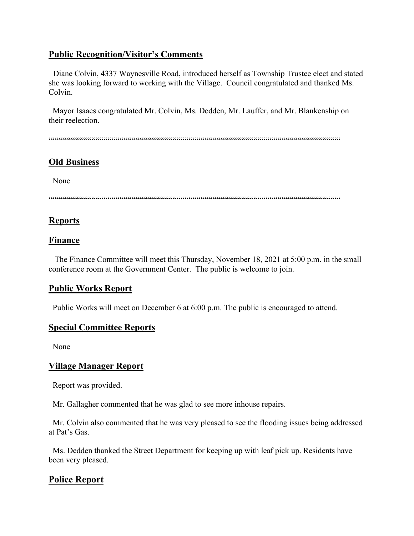# **Public Recognition/Visitor's Comments**

 Diane Colvin, 4337 Waynesville Road, introduced herself as Township Trustee elect and stated she was looking forward to working with the Village. Council congratulated and thanked Ms. Colvin.

 Mayor Isaacs congratulated Mr. Colvin, Ms. Dedden, Mr. Lauffer, and Mr. Blankenship on their reelection.

 $\verb|{}! \verb|{}! \verb|! |! \verb|! |! \verb|! |! \verb|! |! \verb|! |! \verb|! |! \verb|! |! \verb|! |! \verb|! |! \verb|! |! \verb|! |! \verb|! |! \verb|! |! \verb|! |! \verb|! |! \verb|! |! \verb|! |! \verb|! |! \verb|! |! \verb|! |! \verb|! |! \verb|! |! \verb|! |! \verb|! |! \verb|! |! \verb|! |! \verb|! |! \verb|! |! \verb|! |! \verb|! |! \verb|! |! \verb|! |! \verb|! |! \verb|! |! \verb|! |!$ 

# **Old Business**

None

""""""""""""""""""""""""""""""""""""""""""""""""""""""""""""""""""""""""

# **Reports**

# **Finance**

 The Finance Committee will meet this Thursday, November 18, 2021 at 5:00 p.m. in the small conference room at the Government Center. The public is welcome to join.

# **Public Works Report**

Public Works will meet on December 6 at 6:00 p.m. The public is encouraged to attend.

## **Special Committee Reports**

None

# **Village Manager Report**

Report was provided.

Mr. Gallagher commented that he was glad to see more inhouse repairs.

 Mr. Colvin also commented that he was very pleased to see the flooding issues being addressed at Pat's Gas.

 Ms. Dedden thanked the Street Department for keeping up with leaf pick up. Residents have been very pleased.

# **Police Report**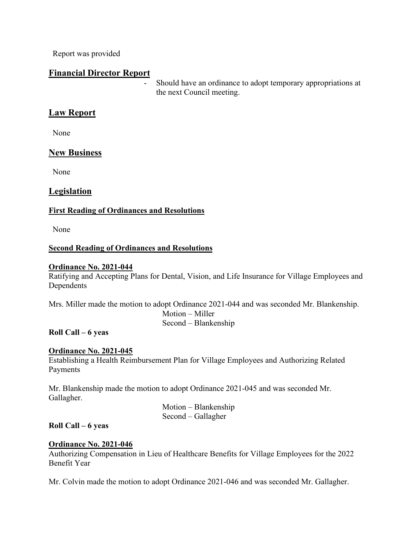Report was provided

### **Financial Director Report**

Should have an ordinance to adopt temporary appropriations at the next Council meeting.

# **Law Report**

None

# **New Business**

None

## **Legislation**

### **First Reading of Ordinances and Resolutions**

None

### **Second Reading of Ordinances and Resolutions**

#### **Ordinance No. 2021-044**

Ratifying and Accepting Plans for Dental, Vision, and Life Insurance for Village Employees and Dependents

Mrs. Miller made the motion to adopt Ordinance 2021-044 and was seconded Mr. Blankenship. Motion – Miller Second – Blankenship

#### **Roll Call – 6 yeas**

### **Ordinance No. 2021-045**

Establishing a Health Reimbursement Plan for Village Employees and Authorizing Related Payments

Mr. Blankenship made the motion to adopt Ordinance 2021-045 and was seconded Mr. Gallagher.

> Motion – Blankenship Second – Gallagher

### **Roll Call – 6 yeas**

### **Ordinance No. 2021-046**

Authorizing Compensation in Lieu of Healthcare Benefits for Village Employees for the 2022 Benefit Year

Mr. Colvin made the motion to adopt Ordinance 2021-046 and was seconded Mr. Gallagher.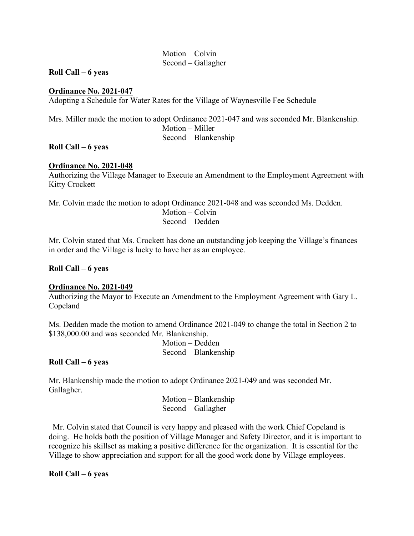#### Motion – Colvin Second – Gallagher

#### **Roll Call – 6 yeas**

#### **Ordinance No. 2021-047**

Adopting a Schedule for Water Rates for the Village of Waynesville Fee Schedule

Mrs. Miller made the motion to adopt Ordinance 2021-047 and was seconded Mr. Blankenship. Motion – Miller Second – Blankenship

#### **Roll Call – 6 yeas**

#### **Ordinance No. 2021-048**

Authorizing the Village Manager to Execute an Amendment to the Employment Agreement with Kitty Crockett

Mr. Colvin made the motion to adopt Ordinance 2021-048 and was seconded Ms. Dedden.

 Motion – Colvin Second – Dedden

Mr. Colvin stated that Ms. Crockett has done an outstanding job keeping the Village's finances in order and the Village is lucky to have her as an employee.

#### **Roll Call – 6 yeas**

#### **Ordinance No. 2021-049**

Authorizing the Mayor to Execute an Amendment to the Employment Agreement with Gary L. Copeland

Ms. Dedden made the motion to amend Ordinance 2021-049 to change the total in Section 2 to \$138,000.00 and was seconded Mr. Blankenship.

> Motion – Dedden Second – Blankenship

#### **Roll Call – 6 yeas**

Mr. Blankenship made the motion to adopt Ordinance 2021-049 and was seconded Mr. Gallagher.

> Motion – Blankenship Second – Gallagher

 Mr. Colvin stated that Council is very happy and pleased with the work Chief Copeland is doing. He holds both the position of Village Manager and Safety Director, and it is important to recognize his skillset as making a positive difference for the organization. It is essential for the Village to show appreciation and support for all the good work done by Village employees.

**Roll Call – 6 yeas**